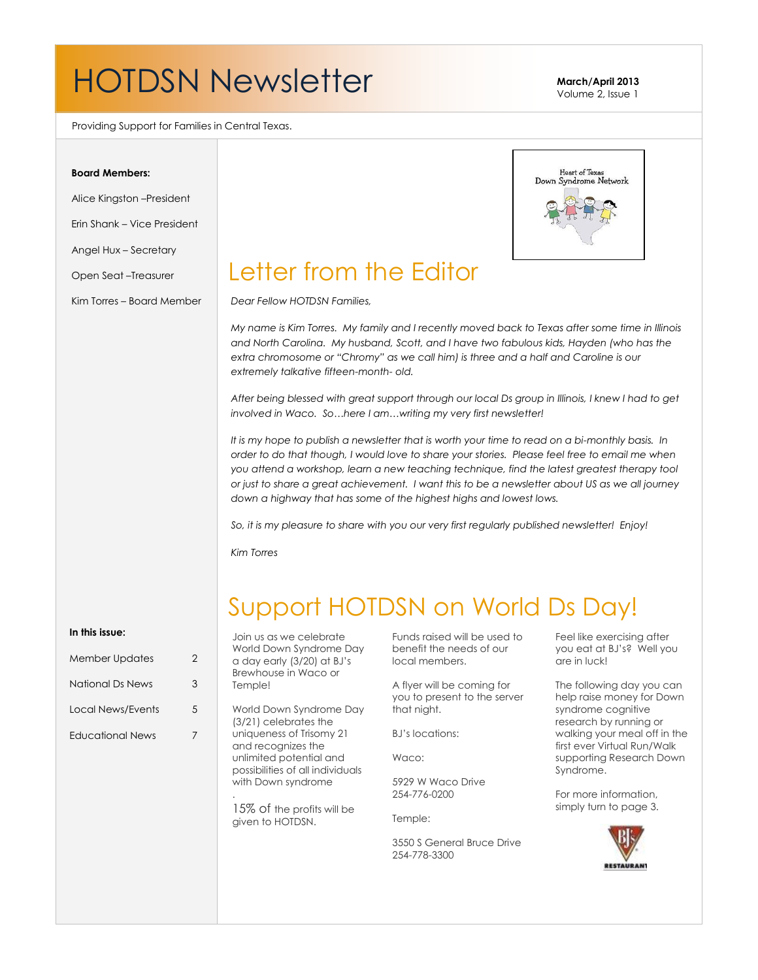# HOTDSN Newsletter **March/April 2013**

Volume 2, Issue 1

Providing Support for Families in Central Texas.

### **Board Members:**

Alice Kingston –President

Erin Shank – Vice President

Angel Hux – Secretary

Open Seat –Treasurer

Kim Torres – Board Member



### Letter from the Editor

*Dear Fellow HOTDSN Families,*

*My name is Kim Torres. My family and I recently moved back to Texas after some time in Illinois and North Carolina. My husband, Scott, and I have two fabulous kids, Hayden (who has the extra chromosome or "Chromy" as we call him) is three and a half and Caroline is our extremely talkative fifteen-month- old.* 

*After being blessed with great support through our local Ds group in Illinois, I knew I had to get involved in Waco. So…here I am…writing my very first newsletter!* 

*It is my hope to publish a newsletter that is worth your time to read on a bi-monthly basis. In order to do that though, I would love to share your stories. Please feel free to email me when you attend a workshop, learn a new teaching technique, find the latest greatest therapy tool or just to share a great achievement. I want this to be a newsletter about US as we all journey down a highway that has some of the highest highs and lowest lows.* 

*So, it is my pleasure to share with you our very first regularly published newsletter! Enjoy!*

*Kim Torres*

## Support HOTDSN on World Ds Day!

#### **In this issue:**

| <b>Member Updates</b>    | 2 |
|--------------------------|---|
| National Ds News         | 3 |
| <b>Local News/Events</b> | 5 |
| Educational News         |   |
|                          |   |

Join us as we celebrate World Down Syndrome Day a day early (3/20) at BJ's Brewhouse in Waco or Temple!

World Down Syndrome Day (3/21) celebrates the uniqueness of Trisomy 21 and recognizes the unlimited potential and possibilities of all individuals with Down syndrome

15% of the profits will be given to HOTDSN.

.

Funds raised will be used to benefit the needs of our local members.

A flyer will be coming for you to present to the server that night.

BJ's locations:

Waco:

5929 W Waco Drive 254-776-0200

Temple:

3550 S General Bruce Drive 254-778-3300

Feel like exercising after you eat at BJ's? Well you are in luck!

The following day you can help raise money for Down syndrome cognitive research by running or walking your meal off in the first ever Virtual Run/Walk supporting Research Down Syndrome.

For more information, simply turn to page 3.

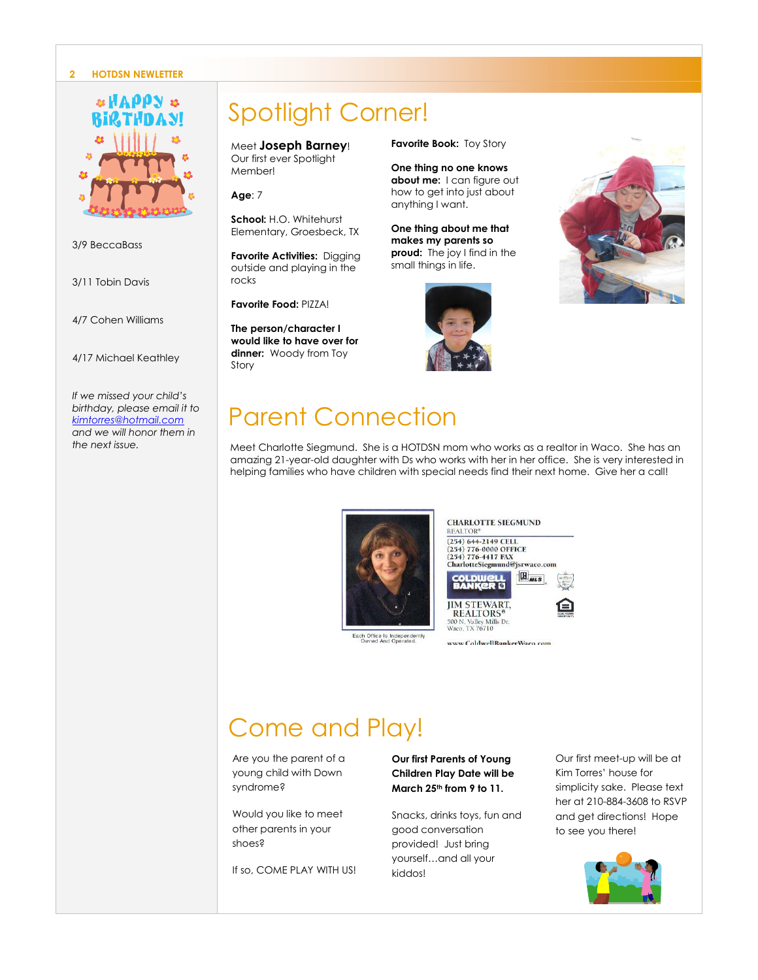#### **2 HOTDSN NEWLETTER**



3/9 BeccaBass

3/11 Tobin Davis

4/7 Cohen Williams

4/17 Michael Keathley

*If we missed your child's birthday, please email it to [kimtorres@hotmail.com](mailto:kimtorres@hotmail.com) and we will honor them in the next issue.*

## Spotlight Corner!

Meet **Joseph Barney**! Our first ever Spotlight Member!

**Age**: 7

**School:** H.O. Whitehurst Elementary, Groesbeck, TX

**Favorite Activities:** Digging outside and playing in the rocks

**Favorite Food:** PIZZA!

**The person/character I would like to have over for dinner:** Woody from Toy Story

**Favorite Book:** Toy Story

**One thing no one knows about me:** I can figure out how to get into just about anything I want.

**One thing about me that makes my parents so proud:** The joy I find in the small things in life.





### Parent Connection

Meet Charlotte Siegmund. She is a HOTDSN mom who works as a realtor in Waco. She has an amazing 21-year-old daughter with Ds who works with her in her office. She is very interested in helping families who have children with special needs find their next home. Give her a call!





**CHARLOTTE SIEGMUND REALTOR®** (254) 644-2149 CELL<br>(254) 776-0000 OFFICE<br>(254) 776-4417 FAX

CharlotteSiegmund@jsrwaco.com  $B$ <sub>MLS</sub> **JIM STEWART, REALTORS** 500 N. Valley Mills Dr.<br>Waco, TX 76710



### Come and Play!

Are you the parent of a young child with Down syndrome?

Would you like to meet other parents in your shoes?

If so, COME PLAY WITH US!

#### **Our first Parents of Young Children Play Date will be March 25th from 9 to 11.**

Snacks, drinks toys, fun and good conversation provided! Just bring yourself…and all your kiddos!

Our first meet-up will be at Kim Torres' house for simplicity sake. Please text her at 210-884-3608 to RSVP and get directions! Hope to see you there!

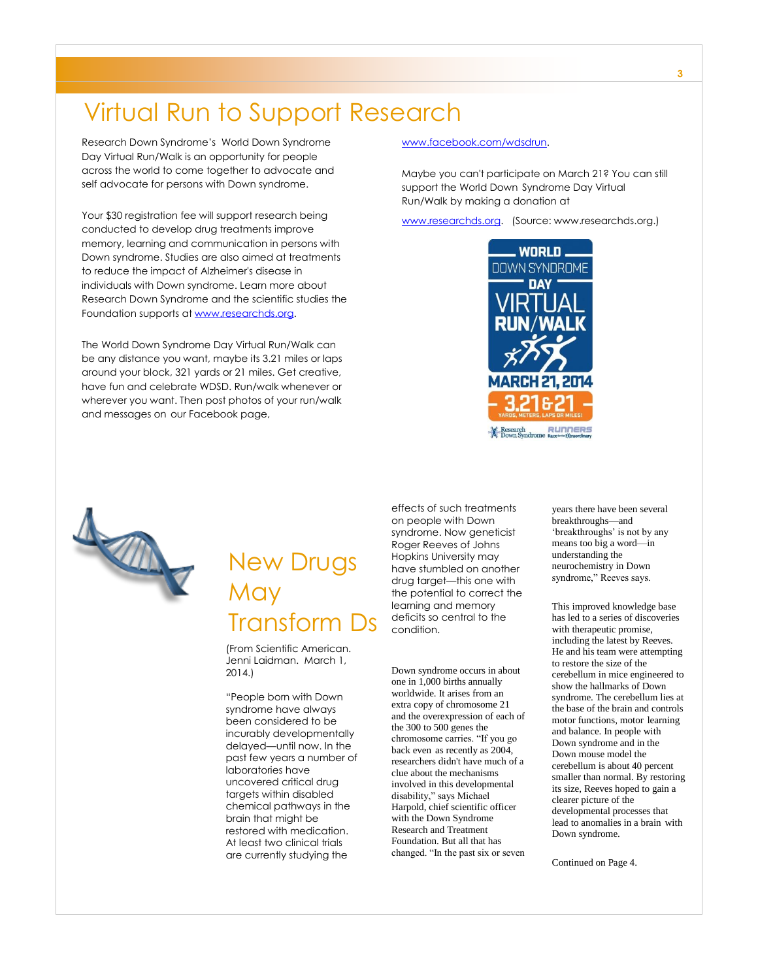### Virtual Run to Support Research

Research Down Syndrome's World Down Syndrome Day Virtual Run/Walk is an opportunity for people across the world to come together to advocate and self advocate for persons with Down syndrome.

Your \$30 registration fee will support research being conducted to develop drug treatments improve memory, learning and communication in persons with Down syndrome. Studies are also aimed at treatments to reduce the impact of Alzheimer's disease in individuals with Down syndrome. Learn more about Research Down Syndrome and the scientific studies the Foundation supports a[t www.researchds.org.](http://www.researchds.org/)

The World Down Syndrome Day Virtual Run/Walk can be any distance you want, maybe its 3.21 miles or laps around your block, 321 yards or 21 miles. Get creative, have fun and celebrate WDSD. Run/walk whenever or wherever you want. Then post photos of your run/walk and messages on our Facebook page,

#### [www.facebook.com/wdsdrun.](http://www.facebook.com/wdsdrun)

Maybe you can't participate on March 21? You can still support the World Down Syndrome Day Virtual Run/Walk by making a donation at

[www.researchds.org.](http://www.researchds.org/) (Source: www.researchds.org.)





### New Drugs May Transform Ds

(From Scientific American. Jenni Laidman. March 1, 2014.)

"People born with Down syndrome have always been considered to be incurably developmentally delayed—until now. In the past few years a number of laboratories have uncovered critical drug targets within disabled chemical pathways in the brain that might be restored with medication. At least two clinical trials are currently studying the

effects of such treatments on people with Down syndrome. Now geneticist Roger Reeves of Johns Hopkins University may have stumbled on another drug target—this one with the potential to correct the learning and memory deficits so central to the condition.

#### Down syndrome occurs in about one in 1,000 births annually worldwide. It arises from an extra copy of chromosome 21 and the overexpression of each of the 300 to 500 genes the chromosome carries. "If you go back even as recently as 2004, researchers didn't have much of a clue about the mechanisms involved in this developmental disability," says Michael Harpold, chief scientific officer with the Down Syndrome Research and Treatment Foundation. But all that has changed. "In the past six or seven

years there have been several breakthroughs—and 'breakthroughs' is not by any means too big a word—in understanding the neurochemistry in Down syndrome," Reeves says.

This improved knowledge base has led to a series of discoveries with therapeutic promise, including the latest by Reeves. He and his team were attempting to restore the size of the cerebellum in mice engineered to show the hallmarks of Down syndrome. The cerebellum lies at the base of the brain and controls motor functions, motor learning and balance. In people with Down syndrome and in the Down mouse model the cerebellum is about 40 percent smaller than normal. By restoring its size, Reeves hoped to gain a clearer picture of the developmental processes that lead to anomalies in a brain with Down syndrome.

Continued on Page 4.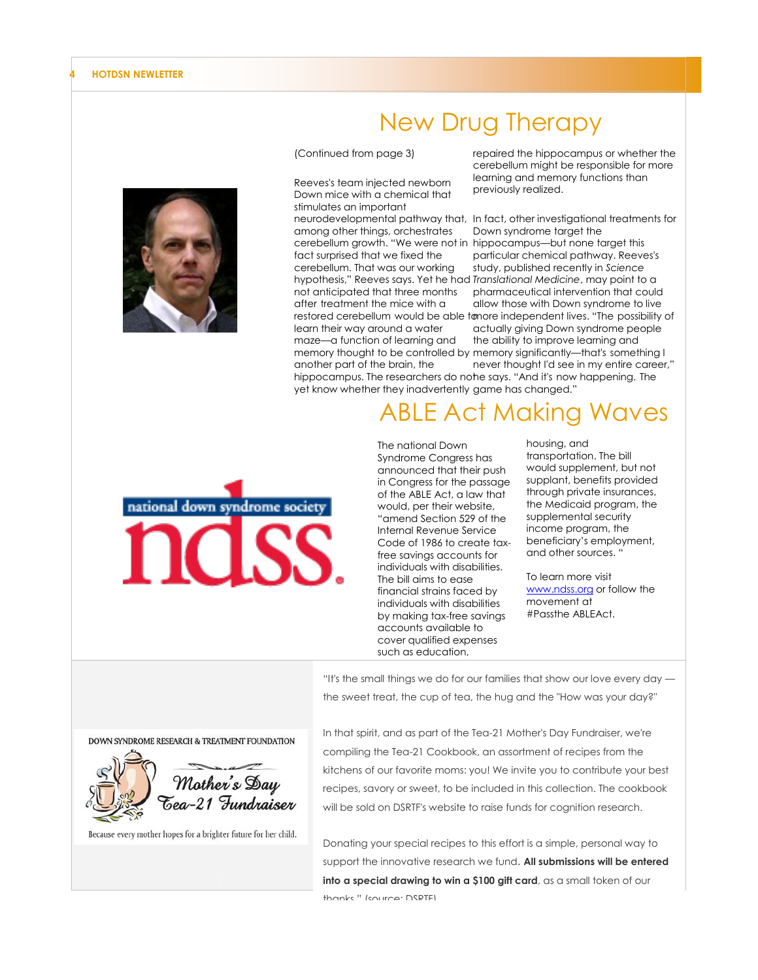

### New Drug Therapy

(Continued from page 3)

Reeves's team injected newborn Down mice with a chemical that stimulates an important among other things, orchestrates fact surprised that we fixed the cerebellum. That was our working not anticipated that three months after treatment the mice with a learn their way around a water maze—a function of learning and another part of the brain, the

repaired the hippocampus or whether the cerebellum might be responsible for more learning and memory functions than previously realized.

neurodevelopmental pathway that, In fact, other investigational treatments for cerebellum growth. "We were not in hippocampus—but none target this hypothesis," Reeves says. Yet he had *Translational Medicine*, may point to a restored cerebellum would be able tonore independent lives. "The possibility of memory thought to be controlled by memory significantly—that's something I hippocampus. The researchers do note says. "And it's now happening. The yet know whether they inadvertently game has changed." Down syndrome target the particular chemical pathway. Reeves's study, published recently in *Science*  pharmaceutical intervention that could allow those with Down syndrome to live actually giving Down syndrome people the ability to improve learning and never thought I'd see in my entire career,"

### ABLE Act Making Waves



The national Down Syndrome Congress has announced that their push in Congress for the passage of the ABLE Act, a law that would, per their website, "amend Section 529 of the Internal Revenue Service Code of 1986 to create taxfree savings accounts for individuals with disabilities. The bill aims to ease financial strains faced by individuals with disabilities by making tax-free savings accounts available to cover qualified expenses such as education,

housing, and transportation. The bill would supplement, but not supplant, benefits provided through private insurances, the Medicaid program, the supplemental security income program, the beneficiary's employment, and other sources. "

To learn more visit [www.ndss.org](http://www.ndss.org/) or follow the movement at #Passthe ABLEAct.

"It's the small things we do for our families that show our love every day the sweet treat, the cup of tea, the hug and the "How was your day?"

In that spirit, and as part of the Tea-21 Mother's Day Fundraiser, we're compiling the Tea-21 Cookbook, an assortment of recipes from the kitchens of our favorite moms: you! We invite you to contribute your best recipes, savory or sweet, to be included in this collection. The cookbook will be sold on DSRTF's website to raise funds for cognition research.

Donating your special recipes to this effort is a simple, personal way to support the innovative research we fund. **All submissions will be entered**  into a special drawing to win a \$100 gift card, as a small token of our thanks." (source: DSRTF)





Because every mother hopes for a brighter future for her child.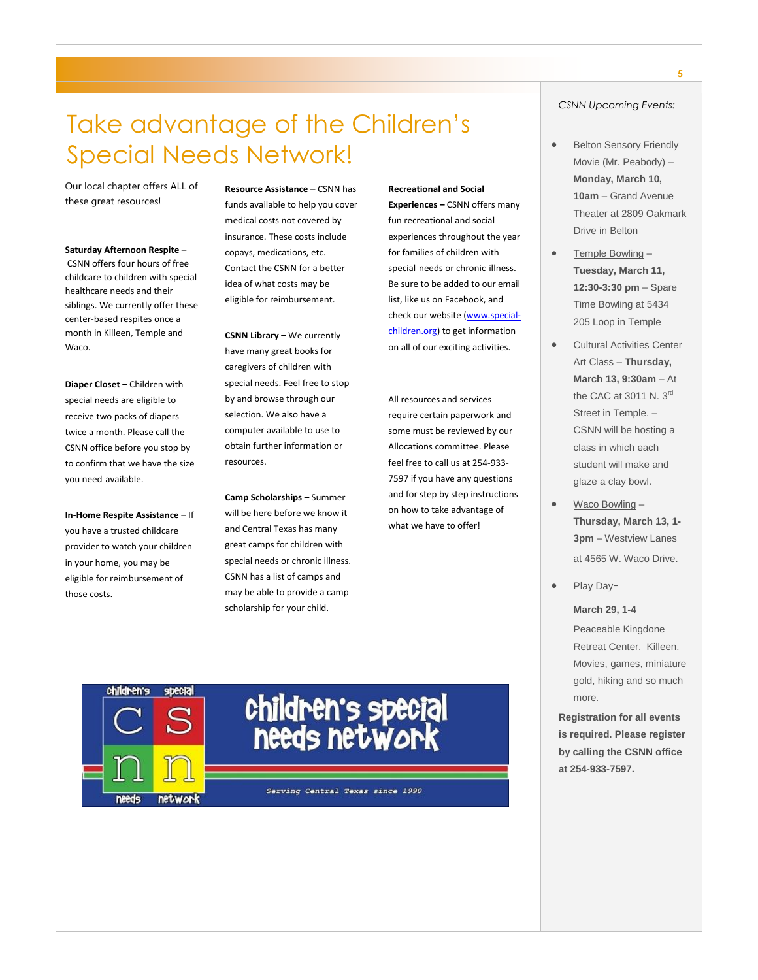### Take advantage of the Children's Special Needs Network!

Our local chapter offers ALL of these great resources!

**Saturday Afternoon Respite –** CSNN offers four hours of free childcare to children with special healthcare needs and their siblings. We currently offer these center-based respites once a month in Killeen, Temple and Waco.

**Diaper Closet –** Children with special needs are eligible to receive two packs of diapers twice a month. Please call the CSNN office before you stop by to confirm that we have the size you need available.

**In-Home Respite Assistance –** If you have a trusted childcare provider to watch your children in your home, you may be eligible for reimbursement of those costs.

**Resource Assistance –** CSNN has funds available to help you cover medical costs not covered by insurance. These costs include copays, medications, etc. Contact the CSNN for a better idea of what costs may be eligible for reimbursement.

**CSNN Library –** We currently have many great books for caregivers of children with special needs. Feel free to stop by and browse through our selection. We also have a computer available to use to obtain further information or resources.

**Camp Scholarships –** Summer will be here before we know it and Central Texas has many great camps for children with special needs or chronic illness. CSNN has a list of camps and may be able to provide a camp scholarship for your child.

**Recreational and Social Experiences –** CSNN offers many fun recreational and social experiences throughout the year for families of children with special needs or chronic illness. Be sure to be added to our email list, like us on Facebook, and check our website [\(www.special](http://special-children.us5.list-manage.com/track/click?u=bd5013365461cf22dca0ad524&id=60285466ab&e=748d1b8d8e)[children.org\)](http://special-children.us5.list-manage.com/track/click?u=bd5013365461cf22dca0ad524&id=60285466ab&e=748d1b8d8e) to get information on all of our exciting activities.

All resources and services require certain paperwork and some must be reviewed by our Allocations committee. Please feel free to call us at 254-933- 7597 if you have any questions and for step by step instructions on how to take advantage of what we have to offer!

### *CSNN Upcoming Events:*

- Belton Sensory Friendly Movie (Mr. Peabody) – **Monday, March 10, 10am** – Grand Avenue Theater at 2809 Oakmark Drive in Belton
- Temple Bowling **Tuesday, March 11, 12:30-3:30 pm** – Spare Time Bowling at 5434 205 Loop in Temple
- Cultural Activities Center Art Class – **Thursday, March 13, 9:30am** – At the CAC at 3011 N. 3rd Street in Temple. – CSNN will be hosting a class in which each student will make and glaze a clay bowl.
- Waco Bowling **Thursday, March 13, 1- 3pm** – Westview Lanes at 4565 W. Waco Drive.
- Play Day-

**March 29, 1-4**

Peaceable Kingdone Retreat Center. Killeen. Movies, games, miniature gold, hiking and so much more.

**Registration for all events is required. Please register by calling the CSNN office at 254-933-7597.**

Serving Central Texas since 1990

children's special

needs network

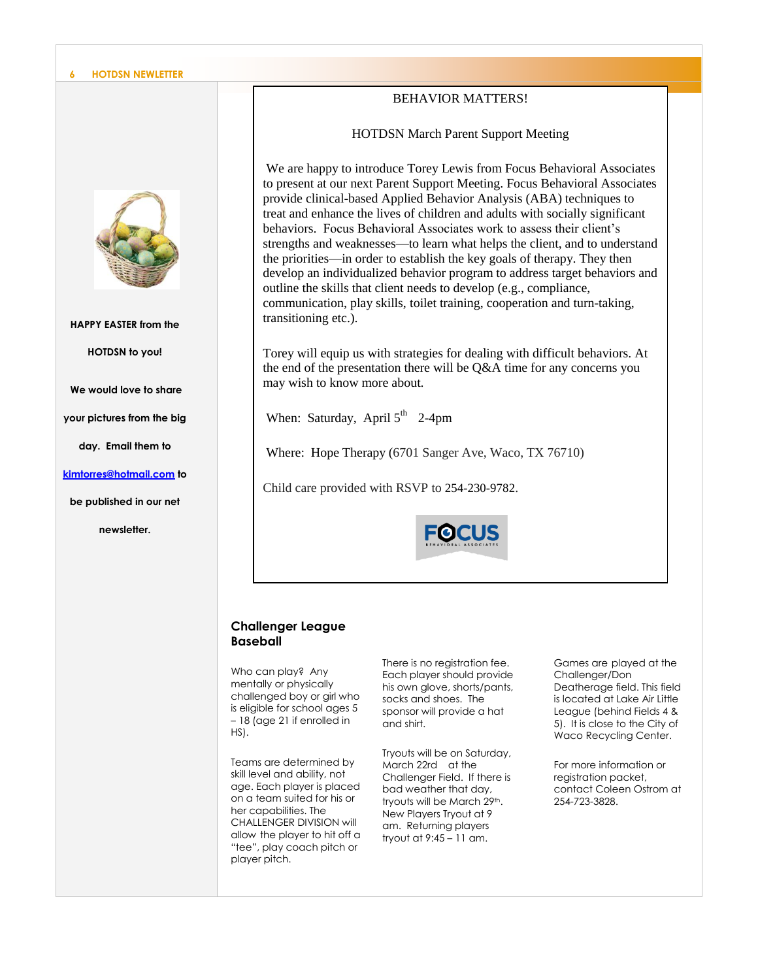#### **6 HOTDSN NEWLETTER**



#### **HAPPY EASTER from the**

**HOTDSN to you!** 

**We would love to share** 

**your pictures from the big** 

**day. Email them to** 

**[kimtorres@hotmail.com](mailto:kimtorres@hotmail.com) to** 

**be published in our net** 

**newsletter.**

### BEHAVIOR MATTERS!

HOTDSN March Parent Support Meeting

We are happy to introduce Torey Lewis from Focus Behavioral Associates to present at our next Parent Support Meeting. Focus Behavioral Associates provide clinical-based Applied Behavior Analysis (ABA) techniques to treat and enhance the lives of children and adults with socially significant behaviors. Focus Behavioral Associates work to assess their client's strengths and weaknesses—to learn what helps the client, and to understand the priorities—in order to establish the key goals of therapy. They then develop an individualized behavior program to address target behaviors and outline the skills that client needs to develop (e.g., compliance, communication, play skills, toilet training, cooperation and turn-taking, transitioning etc.).

Torey will equip us with strategies for dealing with difficult behaviors. At the end of the presentation there will be Q&A time for any concerns you may wish to know more about.

When: Saturday, April  $5^{th}$  2-4pm

Where: Hope Therapy (6701 Sanger Ave, Waco, TX 76710)

Child care provided with RSVP to 254-230-9782.



### **Challenger League Baseball**

Who can play? Any mentally or physically challenged boy or girl who is eligible for school ages 5 – 18 (age 21 if enrolled in HS).

Teams are determined by skill level and ability, not age. Each player is placed on a team suited for his or her capabilities. The CHALLENGER DIVISION will allow the player to hit off a "tee", play coach pitch or player pitch.

There is no registration fee. Each player should provide his own glove, shorts/pants, socks and shoes. The sponsor will provide a hat and shirt.

Tryouts will be on Saturday, March 22rd at the Challenger Field. If there is bad weather that day, tryouts will be March 29th. New Players Tryout at 9 am. Returning players tryout at 9:45 – 11 am.

Games are played at the Challenger/Don Deatherage field. This field is located at Lake Air Little League (behind Fields 4 & 5). It is close to the City of Waco Recycling Center.

For more information or registration packet, contact Coleen Ostrom at 254-723-3828.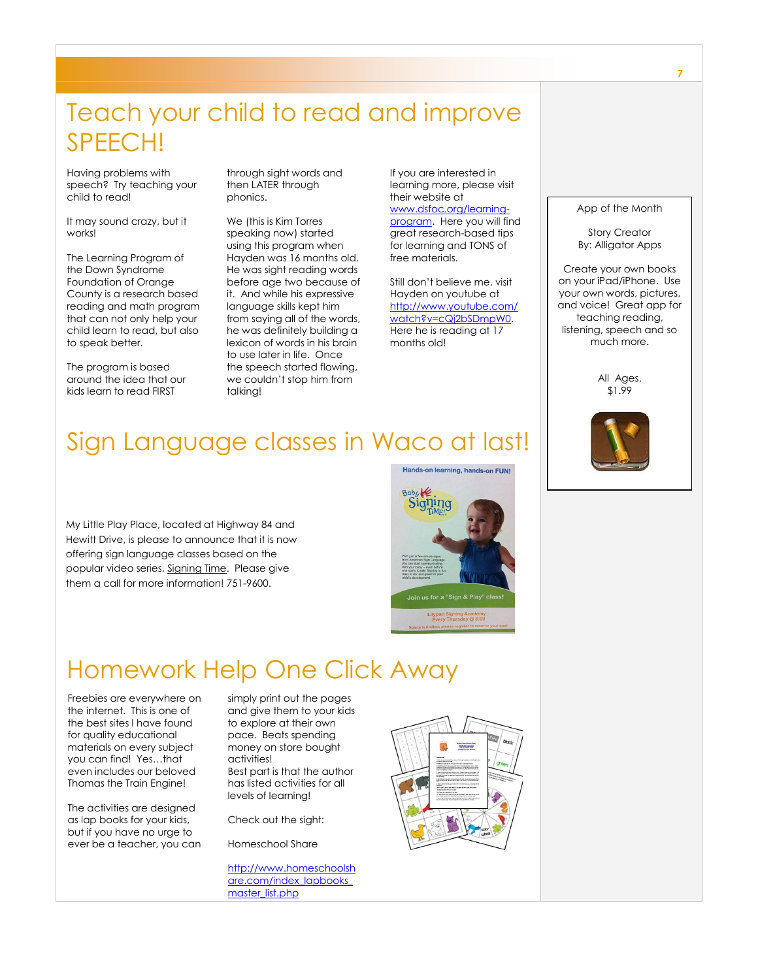### Teach your child to read and improve SPEECH!

Having problems with speech? Try teaching your child to read!

It may sound crazy, but it works!

The Learning Program of the Down Syndrome Foundation of Orange County is a research based reading and math program that can not only help your child learn to read, but also to speak better.

The program is based around the idea that our kids learn to read FIRST

through sight words and then LATER through phonics.

We (this is Kim Torres speaking now) started using this program when Hayden was 16 months old. He was sight reading words before age two because of it. And while his expressive language skills kept him from saying all of the words, he was definitely building a lexicon of words in his brain to use later in life. Once the speech started flowing, we couldn't stop him from talking!

If you are interested in learning more, please visit their website at [www.dsfoc.org/learning](http://www.dsfoc.org/learning-program)[program.](http://www.dsfoc.org/learning-program) Here you will find

great research-based tips for learning and TONS of free materials.

Still don't believe me, visit Hayden on youtube at [http://www.youtube.com/](http://www.youtube.com/watch?v=cQj2bSDmpW0) [watch?v=cQj2bSDmpW0.](http://www.youtube.com/watch?v=cQj2bSDmpW0)  Here he is reading at 17 months old!

#### App of the Month

Story Creator By: Alligator Apps

Create your own books on your iPad/iPhone. Use your own words, pictures, and voice! Great app for teaching reading, listening, speech and so much more.

> All Ages. \$1.99



### Sign Language classes in Waco at last!

My Little Play Place, located at Highway 84 and Hewitt Drive, is please to announce that it is now offering sign language classes based on the popular video series, Signing Time. Please give them a call for more information! 751-9600.



### Homework Help One Click Away

Freebies are everywhere on the internet. This is one of the best sites I have found for quality educational materials on every subject you can find! Yes…that even includes our beloved Thomas the Train Engine!

The activities are designed as lap books for your kids, but if you have no urge to ever be a teacher, you can simply print out the pages and give them to your kids to explore at their own pace. Beats spending money on store bought activities! Best part is that the author has listed activities for all levels of learning!

Check out the sight:

Homeschool Share

[http://www.homeschoolsh](http://www.homeschoolshare.com/index_lapbooks_master_list.php) [are.com/index\\_lapbooks\\_](http://www.homeschoolshare.com/index_lapbooks_master_list.php) [master\\_list.php](http://www.homeschoolshare.com/index_lapbooks_master_list.php)